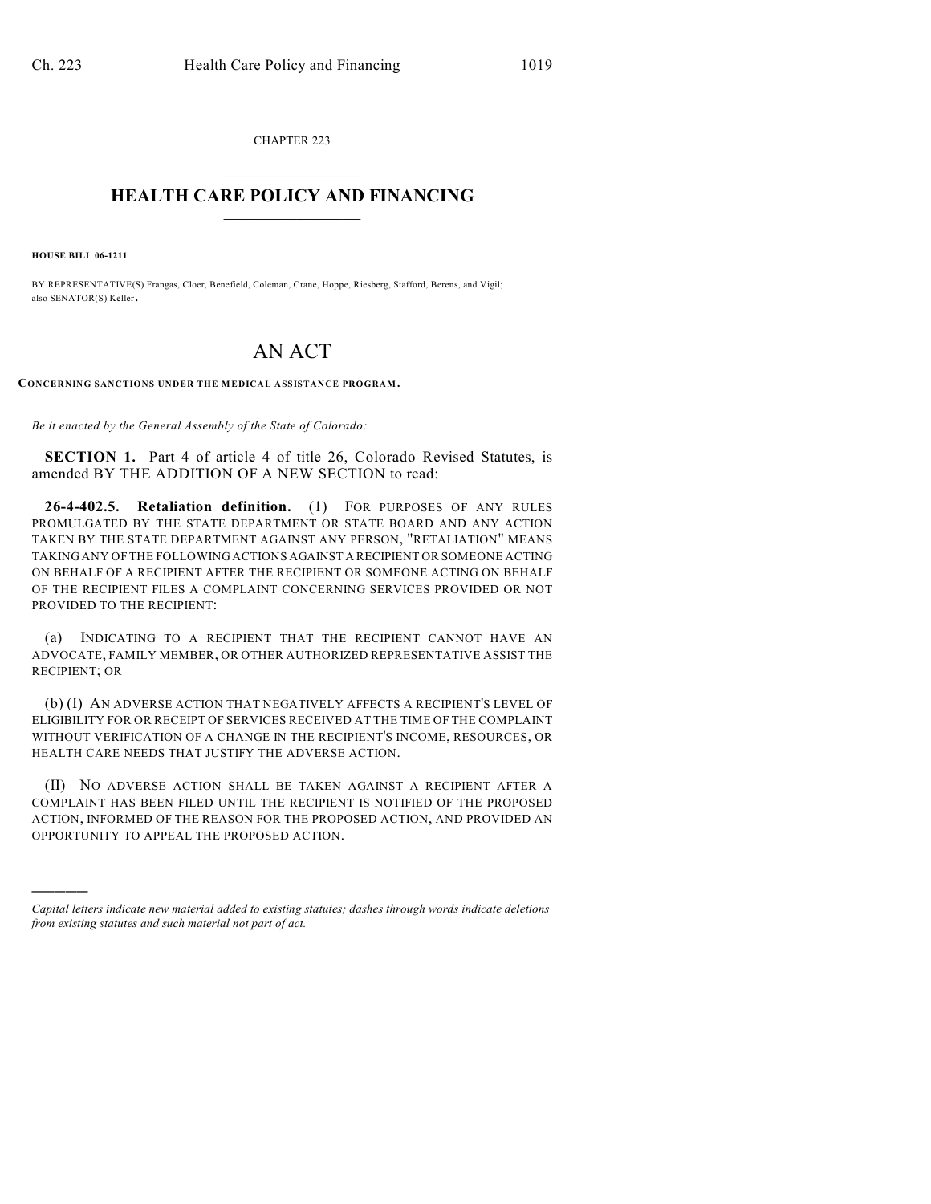CHAPTER 223  $\overline{\phantom{a}}$  . The set of the set of the set of the set of the set of the set of the set of the set of the set of the set of the set of the set of the set of the set of the set of the set of the set of the set of the set o

## **HEALTH CARE POLICY AND FINANCING**  $\_$   $\_$   $\_$   $\_$   $\_$   $\_$   $\_$   $\_$

**HOUSE BILL 06-1211**

)))))

BY REPRESENTATIVE(S) Frangas, Cloer, Benefield, Coleman, Crane, Hoppe, Riesberg, Stafford, Berens, and Vigil; also SENATOR(S) Keller.

## AN ACT

**CONCERNING SANCTIONS UNDER THE MEDICAL ASSISTANCE PROGRAM.**

*Be it enacted by the General Assembly of the State of Colorado:*

**SECTION 1.** Part 4 of article 4 of title 26, Colorado Revised Statutes, is amended BY THE ADDITION OF A NEW SECTION to read:

**26-4-402.5. Retaliation definition.** (1) FOR PURPOSES OF ANY RULES PROMULGATED BY THE STATE DEPARTMENT OR STATE BOARD AND ANY ACTION TAKEN BY THE STATE DEPARTMENT AGAINST ANY PERSON, "RETALIATION" MEANS TAKING ANY OF THE FOLLOWING ACTIONS AGAINST A RECIPIENT OR SOMEONE ACTING ON BEHALF OF A RECIPIENT AFTER THE RECIPIENT OR SOMEONE ACTING ON BEHALF OF THE RECIPIENT FILES A COMPLAINT CONCERNING SERVICES PROVIDED OR NOT PROVIDED TO THE RECIPIENT:

(a) INDICATING TO A RECIPIENT THAT THE RECIPIENT CANNOT HAVE AN ADVOCATE, FAMILY MEMBER, OR OTHER AUTHORIZED REPRESENTATIVE ASSIST THE RECIPIENT; OR

(b) (I) AN ADVERSE ACTION THAT NEGATIVELY AFFECTS A RECIPIENT'S LEVEL OF ELIGIBILITY FOR OR RECEIPT OF SERVICES RECEIVED AT THE TIME OF THE COMPLAINT WITHOUT VERIFICATION OF A CHANGE IN THE RECIPIENT'S INCOME, RESOURCES, OR HEALTH CARE NEEDS THAT JUSTIFY THE ADVERSE ACTION.

(II) NO ADVERSE ACTION SHALL BE TAKEN AGAINST A RECIPIENT AFTER A COMPLAINT HAS BEEN FILED UNTIL THE RECIPIENT IS NOTIFIED OF THE PROPOSED ACTION, INFORMED OF THE REASON FOR THE PROPOSED ACTION, AND PROVIDED AN OPPORTUNITY TO APPEAL THE PROPOSED ACTION.

*Capital letters indicate new material added to existing statutes; dashes through words indicate deletions from existing statutes and such material not part of act.*